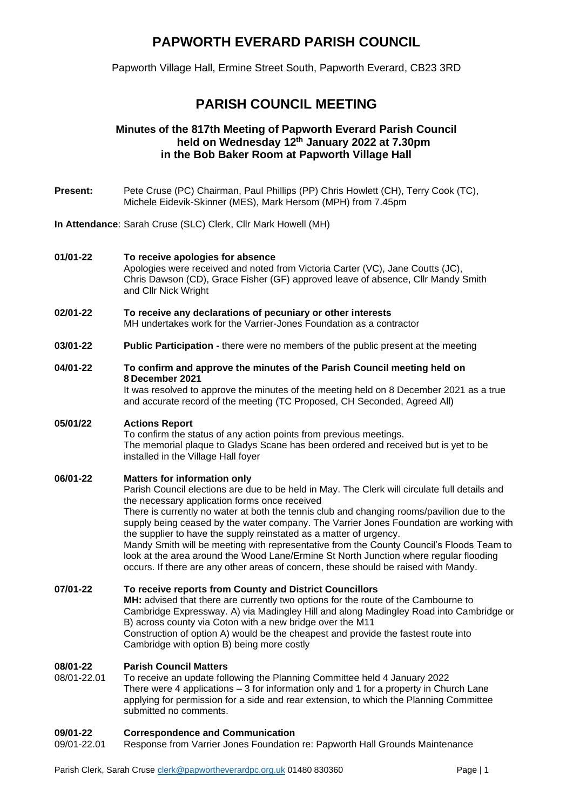# **PAPWORTH EVERARD PARISH COUNCIL**

Papworth Village Hall, Ermine Street South, Papworth Everard, CB23 3RD

# **PARISH COUNCIL MEETING**

## **Minutes of the 817th Meeting of Papworth Everard Parish Council held on Wednesday 12th January 2022 at 7.30pm in the Bob Baker Room at Papworth Village Hall**

- **Present:** Pete Cruse (PC) Chairman, Paul Phillips (PP) Chris Howlett (CH), Terry Cook (TC), Michele Eidevik-Skinner (MES), Mark Hersom (MPH) from 7.45pm
- **In Attendance**: Sarah Cruse (SLC) Clerk, Cllr Mark Howell (MH)

### **01/01-22 To receive apologies for absence**  Apologies were received and noted from Victoria Carter (VC), Jane Coutts (JC), Chris Dawson (CD), Grace Fisher (GF) approved leave of absence, Cllr Mandy Smith and Cllr Nick Wright

- **02/01-22 To receive any declarations of pecuniary or other interests**  MH undertakes work for the Varrier-Jones Foundation as a contractor
- **03/01-22 Public Participation -** there were no members of the public present at the meeting

### **04/01-22 To confirm and approve the minutes of the Parish Council meeting held on 8 December 2021**

It was resolved to approve the minutes of the meeting held on 8 December 2021 as a true and accurate record of the meeting (TC Proposed, CH Seconded, Agreed All)

# **05/01/22 Actions Report**

To confirm the status of any action points from previous meetings. The memorial plaque to Gladys Scane has been ordered and received but is yet to be installed in the Village Hall foyer

### **06/01-22 Matters for information only**

Parish Council elections are due to be held in May. The Clerk will circulate full details and the necessary application forms once received

There is currently no water at both the tennis club and changing rooms/pavilion due to the supply being ceased by the water company. The Varrier Jones Foundation are working with the supplier to have the supply reinstated as a matter of urgency.

Mandy Smith will be meeting with representative from the County Council's Floods Team to look at the area around the Wood Lane/Ermine St North Junction where regular flooding occurs. If there are any other areas of concern, these should be raised with Mandy.

#### **07/01-22 To receive reports from County and District Councillors MH:** advised that there are currently two options for the route of the Cambourne to Cambridge Expressway. A) via Madingley Hill and along Madingley Road into Cambridge or B) across county via Coton with a new bridge over the M11 Construction of option A) would be the cheapest and provide the fastest route into Cambridge with option B) being more costly

### **08/01-22 Parish Council Matters**

08/01-22.01 To receive an update following the Planning Committee held 4 January 2022 There were 4 applications – 3 for information only and 1 for a property in Church Lane applying for permission for a side and rear extension, to which the Planning Committee submitted no comments.

# **09/01-22 Correspondence and Communication**

Response from Varrier Jones Foundation re: Papworth Hall Grounds Maintenance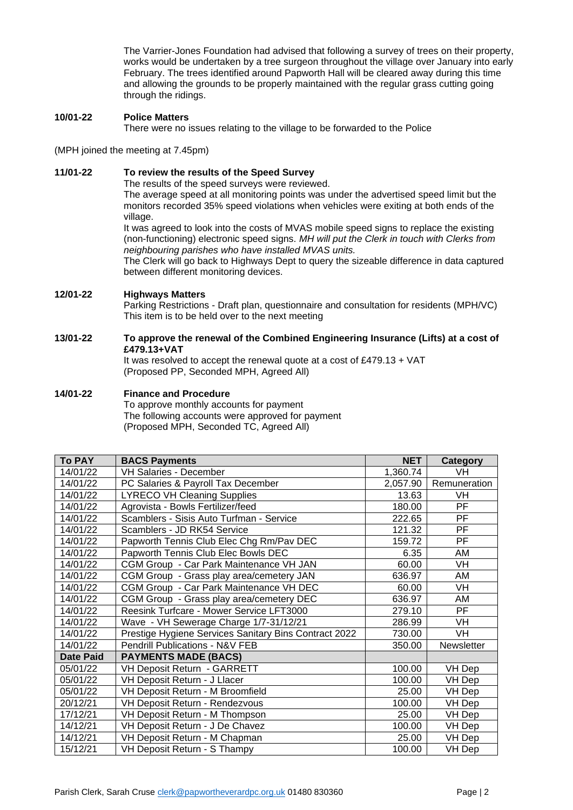The Varrier-Jones Foundation had advised that following a survey of trees on their property, works would be undertaken by a tree surgeon throughout the village over January into early February. The trees identified around Papworth Hall will be cleared away during this time and allowing the grounds to be properly maintained with the regular grass cutting going through the ridings.

### **10/01-22 Police Matters**

There were no issues relating to the village to be forwarded to the Police

(MPH joined the meeting at 7.45pm)

### **11/01-22 To review the results of the Speed Survey**

The results of the speed surveys were reviewed.

The average speed at all monitoring points was under the advertised speed limit but the monitors recorded 35% speed violations when vehicles were exiting at both ends of the village.

It was agreed to look into the costs of MVAS mobile speed signs to replace the existing (non-functioning) electronic speed signs. *MH will put the Clerk in touch with Clerks from neighbouring parishes who have installed MVAS units.*

The Clerk will go back to Highways Dept to query the sizeable difference in data captured between different monitoring devices.

### **12/01-22 Highways Matters**

Parking Restrictions - Draft plan, questionnaire and consultation for residents (MPH/VC) This item is to be held over to the next meeting

### **13/01-22 To approve the renewal of the Combined Engineering Insurance (Lifts) at a cost of £479.13+VAT**

It was resolved to accept the renewal quote at a cost of £479.13 + VAT (Proposed PP, Seconded MPH, Agreed All)

### **14/01-22 Finance and Procedure**

To approve monthly accounts for payment The following accounts were approved for payment (Proposed MPH, Seconded TC, Agreed All)

| <b>To PAY</b>    | <b>BACS Payments</b>                                  | <b>NET</b> | Category     |
|------------------|-------------------------------------------------------|------------|--------------|
| 14/01/22         | <b>VH Salaries - December</b>                         | 1,360.74   | VH           |
| 14/01/22         | PC Salaries & Payroll Tax December                    | 2,057.90   | Remuneration |
| 14/01/22         | <b>LYRECO VH Cleaning Supplies</b>                    | 13.63      | VH           |
| 14/01/22         | Agrovista - Bowls Fertilizer/feed                     | 180.00     | PF           |
| 14/01/22         | Scamblers - Sisis Auto Turfman - Service              | 222.65     | <b>PF</b>    |
| 14/01/22         | Scamblers - JD RK54 Service                           | 121.32     | PF           |
| 14/01/22         | Papworth Tennis Club Elec Chg Rm/Pav DEC              | 159.72     | <b>PF</b>    |
| 14/01/22         | Papworth Tennis Club Elec Bowls DEC                   | 6.35       | AM           |
| 14/01/22         | CGM Group - Car Park Maintenance VH JAN               | 60.00      | VH           |
| 14/01/22         | CGM Group - Grass play area/cemetery JAN              | 636.97     | AM           |
| 14/01/22         | CGM Group - Car Park Maintenance VH DEC               | 60.00      | <b>VH</b>    |
| 14/01/22         | CGM Group - Grass play area/cemetery DEC              | 636.97     | AM           |
| 14/01/22         | Reesink Turfcare - Mower Service LFT3000              | 279.10     | PF           |
| 14/01/22         | Wave - VH Sewerage Charge 1/7-31/12/21                | 286.99     | VH           |
| 14/01/22         | Prestige Hygiene Services Sanitary Bins Contract 2022 | 730.00     | VH           |
| 14/01/22         | Pendrill Publications - N&V FEB                       | 350.00     | Newsletter   |
| <b>Date Paid</b> | <b>PAYMENTS MADE (BACS)</b>                           |            |              |
| 05/01/22         | VH Deposit Return - GARRETT                           | 100.00     | VH Dep       |
| 05/01/22         | VH Deposit Return - J Llacer                          | 100.00     | VH Dep       |
| 05/01/22         | VH Deposit Return - M Broomfield                      | 25.00      | VH Dep       |
| 20/12/21         | VH Deposit Return - Rendezvous                        | 100.00     | VH Dep       |
| 17/12/21         | VH Deposit Return - M Thompson                        | 25.00      | VH Dep       |
| 14/12/21         | VH Deposit Return - J De Chavez                       | 100.00     | VH Dep       |
| 14/12/21         | VH Deposit Return - M Chapman                         | 25.00      | VH Dep       |
| 15/12/21         | VH Deposit Return - S Thampy                          | 100.00     | VH Dep       |